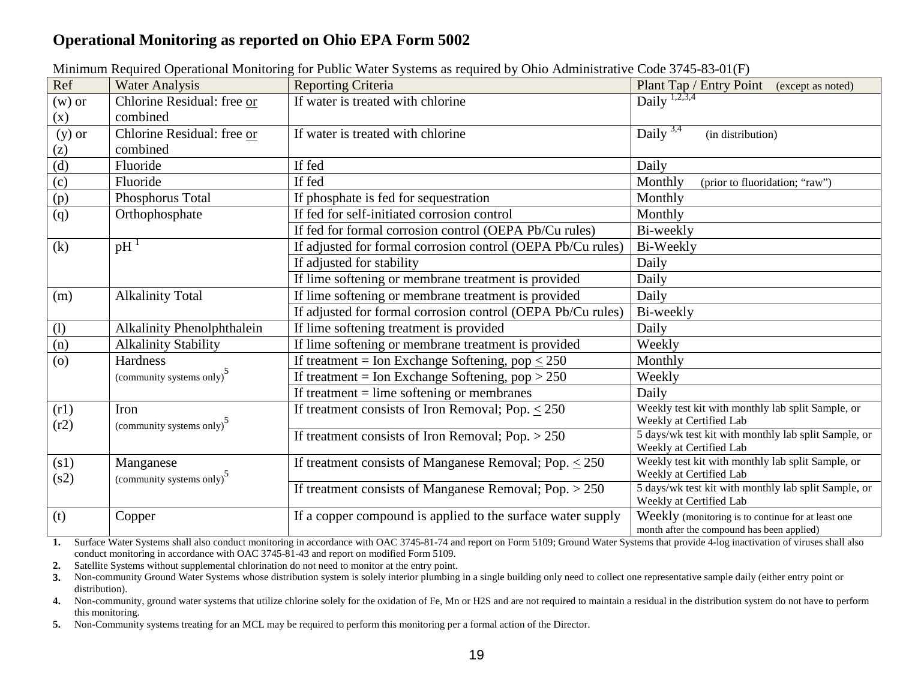## **Operational Monitoring as reported on Ohio EPA Form 5002**

| Ref                       | <b>Water Analysis</b>                 | <b>Reporting Criteria</b>                                   | Plant Tap / Entry Point (except as noted)                                                        |  |
|---------------------------|---------------------------------------|-------------------------------------------------------------|--------------------------------------------------------------------------------------------------|--|
| $(w)$ or                  | Chlorine Residual: free or            | If water is treated with chlorine                           | $Daily^{\frac{1}{2,3,4}}$                                                                        |  |
| (x)                       | combined                              |                                                             |                                                                                                  |  |
| $(y)$ or                  | Chlorine Residual: free or            | If water is treated with chlorine                           | Daily $3,4$<br>(in distribution)                                                                 |  |
| (z)                       | combined                              |                                                             |                                                                                                  |  |
|                           | Fluoride                              | If fed                                                      | Daily                                                                                            |  |
| $\frac{d}{d}$ (d)         | Fluoride                              | If fed                                                      | Monthly<br>(prior to fluoridation; "raw")                                                        |  |
| (p)                       | Phosphorus Total                      | If phosphate is fed for sequestration                       | Monthly                                                                                          |  |
| (q)                       | Orthophosphate                        | If fed for self-initiated corrosion control                 | Monthly                                                                                          |  |
|                           |                                       | If fed for formal corrosion control (OEPA Pb/Cu rules)      | Bi-weekly                                                                                        |  |
| (k)                       | $pH$ <sup>1</sup>                     | If adjusted for formal corrosion control (OEPA Pb/Cu rules) | Bi-Weekly                                                                                        |  |
|                           |                                       | If adjusted for stability                                   | Daily                                                                                            |  |
|                           |                                       | If lime softening or membrane treatment is provided         | Daily                                                                                            |  |
| (m)                       | <b>Alkalinity Total</b>               | If lime softening or membrane treatment is provided         | Daily                                                                                            |  |
|                           |                                       | If adjusted for formal corrosion control (OEPA Pb/Cu rules) | Bi-weekly                                                                                        |  |
| $\overline{(\mathbf{l})}$ | <b>Alkalinity Phenolphthalein</b>     | If lime softening treatment is provided                     | Daily                                                                                            |  |
| (n)                       | <b>Alkalinity Stability</b>           | If lime softening or membrane treatment is provided         | Weekly                                                                                           |  |
| $\overline{(0)}$          | Hardness                              | If treatment = Ion Exchange Softening, pop $\leq 250$       | Monthly                                                                                          |  |
|                           | (community systems only) <sup>5</sup> | If treatment = Ion Exchange Softening, $pop > 250$          | Weekly                                                                                           |  |
|                           |                                       | If treatment $=$ lime softening or membranes                | Daily                                                                                            |  |
| (r1)                      | Iron                                  | If treatment consists of Iron Removal; Pop. $\leq 250$      | Weekly test kit with monthly lab split Sample, or                                                |  |
| (r2)                      | (community systems only) <sup>3</sup> |                                                             | Weekly at Certified Lab                                                                          |  |
|                           |                                       | If treatment consists of Iron Removal; Pop. $> 250$         | 5 days/wk test kit with monthly lab split Sample, or<br>Weekly at Certified Lab                  |  |
| (s1)                      | Manganese                             | If treatment consists of Manganese Removal; Pop. $\leq 250$ | Weekly test kit with monthly lab split Sample, or                                                |  |
| (s2)                      | (community systems only) <sup>3</sup> |                                                             | Weekly at Certified Lab                                                                          |  |
|                           |                                       | If treatment consists of Manganese Removal; Pop. $> 250$    | 5 days/wk test kit with monthly lab split Sample, or                                             |  |
|                           |                                       |                                                             | Weekly at Certified Lab                                                                          |  |
| (t)                       | Copper                                | If a copper compound is applied to the surface water supply | Weekly (monitoring is to continue for at least one<br>month after the compound has been applied) |  |

Minimum Required Operational Monitoring for Public Water Systems as required by Ohio Administrative Code 3745-83-01(F)

**1.** Surface Water Systems shall also conduct monitoring in accordance with OAC 3745-81-74 and report on Form 5109; Ground Water Systems that provide 4-log inactivation of viruses shall also conduct monitoring in accordance with OAC 3745-81-43 and report on modified Form 5109.

**2.** Satellite Systems without supplemental chlorination do not need to monitor at the entry point.

**3.** Non-community Ground Water Systems whose distribution system is solely interior plumbing in a single building only need to collect one representative sample daily (either entry point or distribution).

**4.** Non-community, ground water systems that utilize chlorine solely for the oxidation of Fe, Mn or H2S and are not required to maintain a residual in the distribution system do not have to perform this monitoring.

**5.** Non-Community systems treating for an MCL may be required to perform this monitoring per a formal action of the Director.